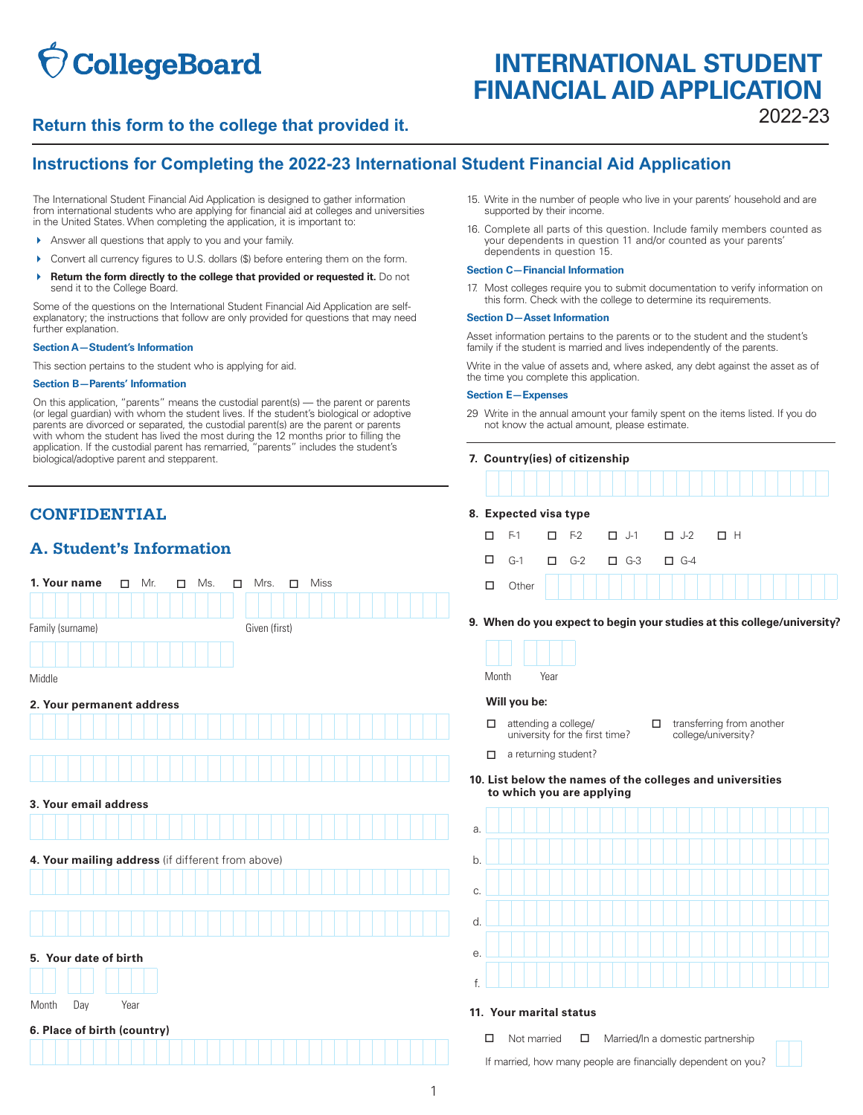# **CollegeBoard**

# **INTERNATIONAL STUDENT FINANCIAL AID APPLICATION**

# 2022-23 **Return this form to the college that provided it.**

# **Instructions for Completing the 2022-23 International Student Financial Aid Application**

The International Student Financial Aid Application is designed to gather information from international students who are applying for financial aid at colleges and universities in the United States. When completing the application, it is important to:

- Answer all questions that apply to you and your family.
- Convert all currency figures to U.S. dollars (\$) before entering them on the form.
- **A** Return the form directly to the college that provided or requested it. Do not send it to the College Board.

 further explanation. Some of the questions on the International Student Financial Aid Application are selfexplanatory; the instructions that follow are only provided for questions that may need

### **Section A—Student's Information**

This section pertains to the student who is applying for aid.

### **Section B—Parents' Information**

On this application, "parents" means the custodial parent(s) — the parent or parents (or legal guardian) with whom the student lives. If the student's biological or adoptive parents are divorced or separated, the custodial parent(s) are the parent or parents with whom the student has lived the most during the 12 months prior to filling the application. If the custodial parent has remarried, "parents" includes the student's biological/adoptive parent and stepparent.

# **CONFIDENTIAL 8. Expected visa type**

### **A. Student's Information**

| 1. Your name<br>Mr.<br>$\Box$<br>$\Box$           | Miss<br>Ms.<br>Mrs.<br>$\Box$<br>□ | Other<br>$\Box$                                                                                                |
|---------------------------------------------------|------------------------------------|----------------------------------------------------------------------------------------------------------------|
| Family (surname)                                  | Given (first)                      | 9. When do you expect to begin your studies at this col                                                        |
|                                                   |                                    |                                                                                                                |
| Middle                                            |                                    | Month<br>Year                                                                                                  |
| 2. Your permanent address                         |                                    | Will you be:                                                                                                   |
|                                                   |                                    | attending a college/<br>transferring from a<br>□<br>□<br>university for the first time?<br>college/university? |
|                                                   |                                    | a returning student?<br>$\Box$                                                                                 |
|                                                   |                                    | 10. List below the names of the colleges and univers<br>to which you are applying                              |
| 3. Your email address                             |                                    |                                                                                                                |
|                                                   |                                    | a.                                                                                                             |
| 4. Your mailing address (if different from above) |                                    | b.                                                                                                             |
|                                                   |                                    | C.                                                                                                             |
|                                                   |                                    |                                                                                                                |
|                                                   |                                    | d.                                                                                                             |
| 5. Your date of birth                             |                                    | е.                                                                                                             |
|                                                   |                                    | f.                                                                                                             |
| Year<br>Day<br>Month                              |                                    | 11. Your marital status                                                                                        |
| 6. Place of birth (country)                       |                                    |                                                                                                                |
|                                                   |                                    | Married/In a domestic partnership<br>Not married<br>□<br>$\Box$                                                |
|                                                   |                                    | If married, how many people are financially dependent on you                                                   |

- 15. Write in the number of people who live in your parents' household and are supported by their income.
- 16. Complete all parts of this question. Include family members counted as your dependents in question 11 and/or counted as your parents' dependents in question 15.

### **Section C—Financial Information**

 17. Most colleges require you to submit documentation to verify information on this form. Check with the college to determine its requirements.

### **Section D—Asset Information**

Asset information pertains to the parents or to the student and the student's family if the student is married and lives independently of the parents.

Write in the value of assets and, where asked, any debt against the asset as of the time you complete this application.

### **Section E—Expenses**

 29 Write in the annual amount your family spent on the items listed. If you do not know the actual amount, please estimate.

| 7. Country(ies) of citizenship |   |                       |  |            |                       |            |    |  |
|--------------------------------|---|-----------------------|--|------------|-----------------------|------------|----|--|
|                                |   |                       |  |            |                       |            |    |  |
|                                |   | 8. Expected visa type |  |            |                       |            |    |  |
|                                |   | $F-1$                 |  | $\Box$ F-2 | $\Box$ J-1 $\Box$ J-2 |            | пн |  |
|                                |   | $G-1$                 |  | $\Box$ G-2 | $\Box$ G-3            | $\Box$ G-4 |    |  |
|                                | ◻ |                       |  |            |                       |            |    |  |

**9. When do you expect to begin your studies at this college/university?** 

- $\Box$  attending a college/  $\Box$  transferring from another university for the first time?  $\Box$  transferring from another university for the first time?
- $\Box$  a returning student?

### **10. List below the names of the colleges and universities to which you are applying**



### 11. Your marital status

| П. | Not married | $\Box$ | Married/In a domestic partnership                             |
|----|-------------|--------|---------------------------------------------------------------|
|    |             |        | If married, how many people are financially dependent on you? |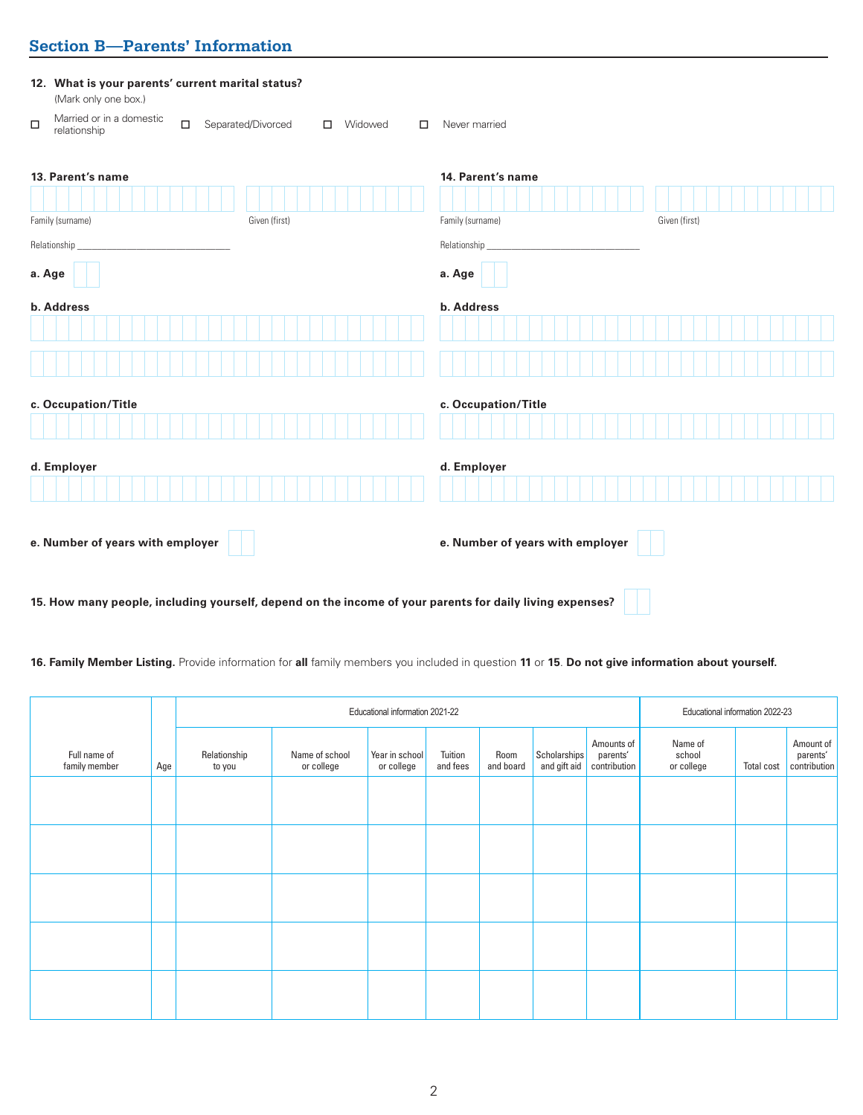# **Section B—Parents' Information**

| 12. What is your parents' current marital status?<br>(Mark only one box.)                                    |                                                        |  |  |  |  |  |
|--------------------------------------------------------------------------------------------------------------|--------------------------------------------------------|--|--|--|--|--|
| Married or in a domestic<br>$\Box$<br>$\Box$<br>Separated/Divorced<br>Widowed<br>$\Box$<br>□<br>relationship | Never married                                          |  |  |  |  |  |
| 13. Parent's name<br>Family (surname)<br>Given (first)                                                       | 14. Parent's name<br>Family (surname)<br>Given (first) |  |  |  |  |  |
| Relationship                                                                                                 | Relationship_                                          |  |  |  |  |  |
| a. Age                                                                                                       | a. Age                                                 |  |  |  |  |  |
| b. Address                                                                                                   | b. Address                                             |  |  |  |  |  |
|                                                                                                              |                                                        |  |  |  |  |  |
| c. Occupation/Title                                                                                          | c. Occupation/Title                                    |  |  |  |  |  |
|                                                                                                              |                                                        |  |  |  |  |  |
| d. Employer                                                                                                  | d. Employer                                            |  |  |  |  |  |
|                                                                                                              |                                                        |  |  |  |  |  |
| e. Number of years with employer                                                                             | e. Number of years with employer                       |  |  |  |  |  |
| 15. How many people, including yourself, depend on the income of your parents for daily living expenses?     |                                                        |  |  |  |  |  |

**16. Family Member Listing.** Provide information for **all** family members you included in question **11** or **15**. **Do not give information about yourself.**

|                               |     |                        | Educational information 2021-22 |                              |                     |                   |                              | Educational information 2022-23        |                                 |                   |                                       |
|-------------------------------|-----|------------------------|---------------------------------|------------------------------|---------------------|-------------------|------------------------------|----------------------------------------|---------------------------------|-------------------|---------------------------------------|
| Full name of<br>family member | Age | Relationship<br>to you | Name of school<br>or college    | Year in school<br>or college | Tuition<br>and fees | Room<br>and board | Scholarships<br>and gift aid | Amounts of<br>parents'<br>contribution | Name of<br>school<br>or college | <b>Total cost</b> | Amount of<br>parents'<br>contribution |
|                               |     |                        |                                 |                              |                     |                   |                              |                                        |                                 |                   |                                       |
|                               |     |                        |                                 |                              |                     |                   |                              |                                        |                                 |                   |                                       |
|                               |     |                        |                                 |                              |                     |                   |                              |                                        |                                 |                   |                                       |
|                               |     |                        |                                 |                              |                     |                   |                              |                                        |                                 |                   |                                       |
|                               |     |                        |                                 |                              |                     |                   |                              |                                        |                                 |                   |                                       |
|                               |     |                        |                                 |                              |                     |                   |                              |                                        |                                 |                   |                                       |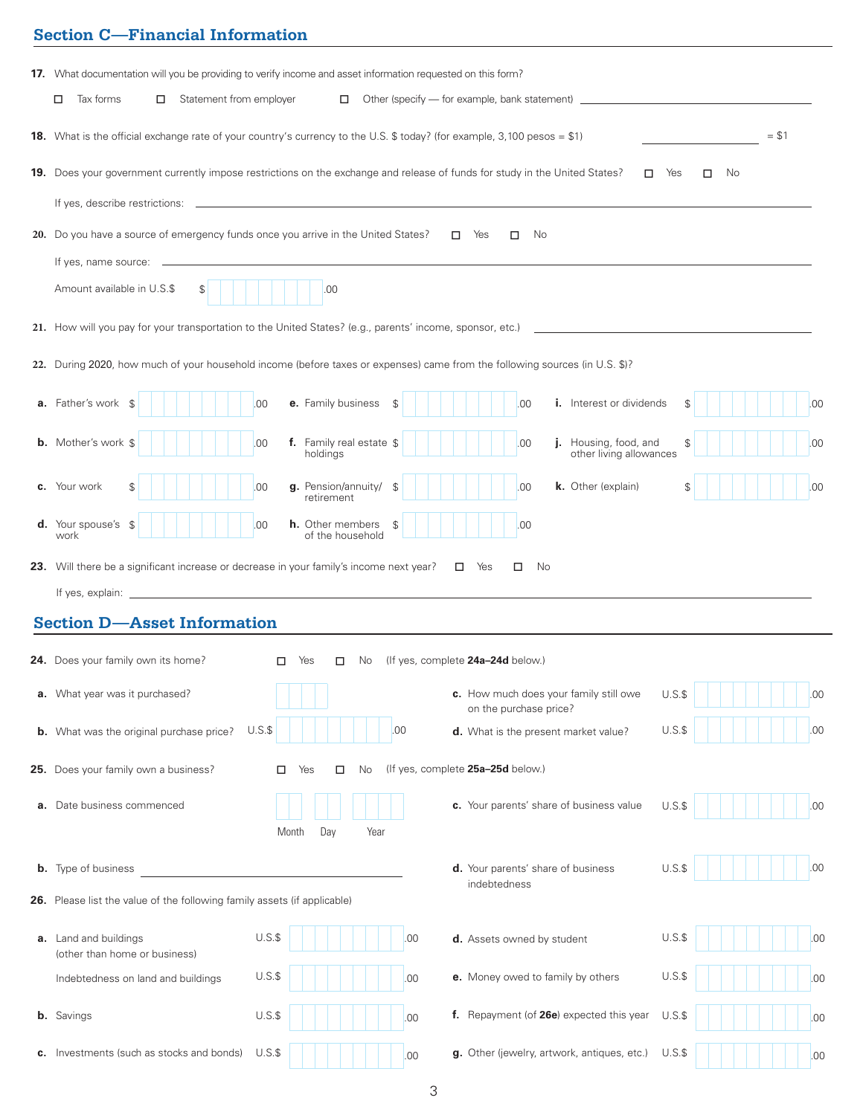# **Section C—Financial Information**

| <b>17.</b> What documentation will you be providing to verify income and asset information requested on this form?          |     |                                   |                                                                                  |         |         |        |     |
|-----------------------------------------------------------------------------------------------------------------------------|-----|-----------------------------------|----------------------------------------------------------------------------------|---------|---------|--------|-----|
| Statement from employer<br>Tax forms<br>□<br>□                                                                              |     |                                   | Other (specify — for example, bank statement) __________________________________ |         |         |        |     |
| 18. What is the official exchange rate of your country's currency to the U.S. \$ today? (for example, 3,100 pesos = \$1)    |     |                                   |                                                                                  |         |         | $= $1$ |     |
| 19. Does your government currently impose restrictions on the exchange and release of funds for study in the United States? |     |                                   | □                                                                                | Yes     | □<br>No |        |     |
|                                                                                                                             |     |                                   |                                                                                  |         |         |        |     |
| 20. Do you have a source of emergency funds once you arrive in the United States?                                           |     | Yes<br>□                          | No<br>□                                                                          |         |         |        |     |
| If yes, name source:                                                                                                        |     |                                   |                                                                                  |         |         |        |     |
| Amount available in U.S.\$<br>.00<br>\$                                                                                     |     |                                   |                                                                                  |         |         |        |     |
| 21. How will you pay for your transportation to the United States? (e.g., parents' income, sponsor, etc.)                   |     |                                   |                                                                                  |         |         |        |     |
| 22. During 2020, how much of your household income (before taxes or expenses) came from the following sources (in U.S. \$)? |     |                                   |                                                                                  |         |         |        |     |
|                                                                                                                             |     |                                   |                                                                                  |         |         |        |     |
| a. Father's work<br>e. Family business<br>.00<br>S                                                                          |     |                                   | .00<br><b>i.</b> Interest or dividends                                           | £.      |         |        | .00 |
| f. Family real estate \$<br><b>b.</b> Mother's work \$<br>00<br>holdings                                                    |     |                                   | Housing, food, and<br>.00<br>other living allowances                             |         |         |        | .00 |
| g. Pension/annuity/<br><b>c.</b> Your work<br>00<br>\$<br>\$<br>retirement                                                  |     |                                   | .00<br>k. Other (explain)                                                        | \$      |         |        | .00 |
| d. Your spouse's<br><b>h.</b> Other members<br>00<br>-\$<br>\$<br>of the household<br>work                                  |     |                                   | .00                                                                              |         |         |        |     |
| 23. Will there be a significant increase or decrease in your family's income next year?<br>$\Box$ Yes<br>No<br>□            |     |                                   |                                                                                  |         |         |        |     |
|                                                                                                                             |     |                                   |                                                                                  |         |         |        |     |
| <b>Section D-Asset Information</b>                                                                                          |     |                                   |                                                                                  |         |         |        |     |
| 24. Does your family own its home?                                                                                          |     |                                   |                                                                                  |         |         |        |     |
| Yes<br>No.<br>п<br>п                                                                                                        |     | (If yes, complete 24a-24d below.) |                                                                                  |         |         |        |     |
| a. What year was it purchased?                                                                                              |     |                                   | c. How much does your family still owe<br>on the purchase price?                 | $U.S.\$ |         |        | .00 |
| $U.S.\$<br>.00<br><b>b.</b> What was the original purchase price?                                                           |     |                                   | d. What is the present market value?                                             | $U.S.\$ |         |        | .00 |
| 25. Does your family own a business?<br>No<br>П<br>Yes<br>□                                                                 |     | (If yes, complete 25a-25d below.) |                                                                                  |         |         |        |     |
| a. Date business commenced                                                                                                  |     |                                   | c. Your parents' share of business value                                         | $U.S.\$ |         |        | .00 |
| Day<br>Year<br>Month                                                                                                        |     |                                   |                                                                                  |         |         |        |     |
| <b>b.</b> Type of business                                                                                                  |     |                                   | d. Your parents' share of business                                               | U.S.S   |         |        | .00 |
| 26. Please list the value of the following family assets (if applicable)                                                    |     | indebtedness                      |                                                                                  |         |         |        |     |
|                                                                                                                             |     |                                   |                                                                                  |         |         |        |     |
| $U.S.\$<br>a. Land and buildings<br>(other than home or business)                                                           | .00 |                                   | d. Assets owned by student                                                       | $U.S.\$ |         |        | .00 |
| $U.S.\$<br>Indebtedness on land and buildings                                                                               | .00 |                                   | e. Money owed to family by others                                                | $U.S.\$ |         |        | .00 |
| $U.S.\$<br><b>b.</b> Savings                                                                                                | .00 |                                   | f. Repayment (of 26e) expected this year                                         | $U.S.\$ |         |        | .00 |
| c. Investments (such as stocks and bonds)<br>$U.S.\$                                                                        | .00 |                                   | g. Other (jewelry, artwork, antiques, etc.)                                      | $U.S.\$ |         |        | .00 |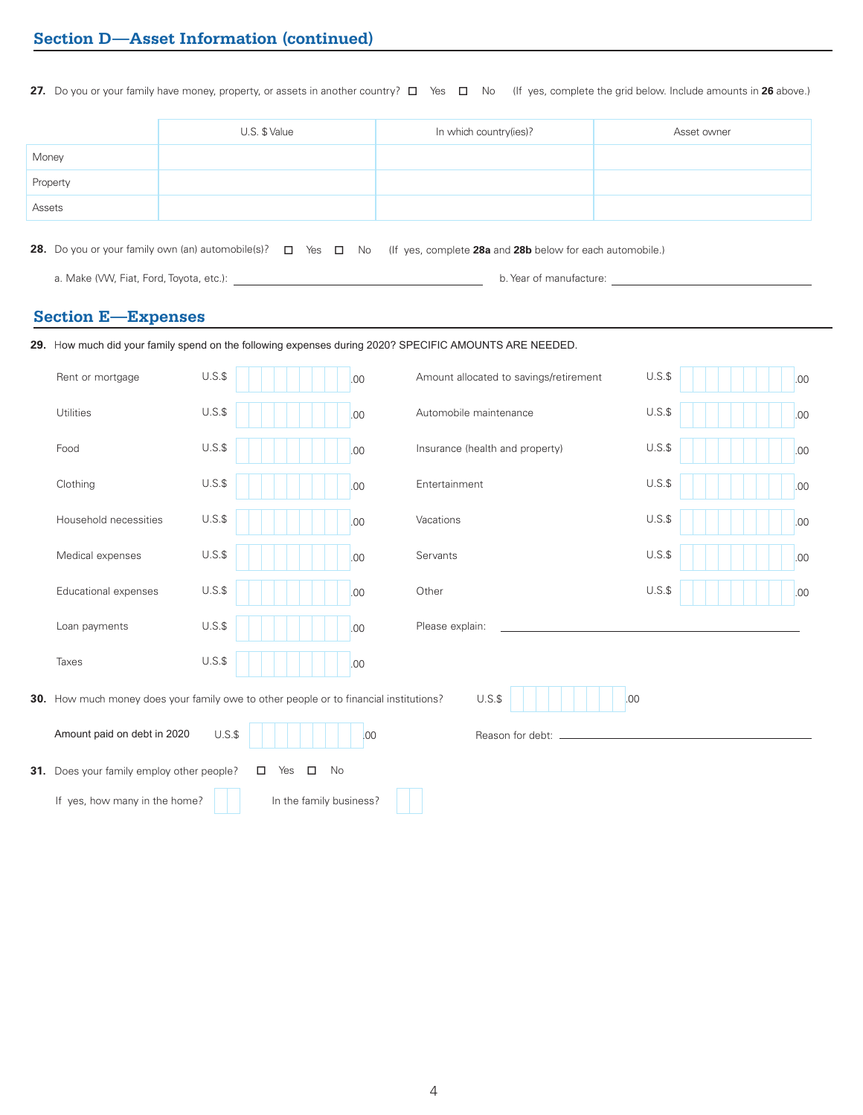**27.** Do you or your family have money, property, or assets in another country? □ Yes □ No (If yes, complete the grid below. Include amounts in **26** above.)

|          | U.S. \$ Value | In which country(ies)? | Asset owner |
|----------|---------------|------------------------|-------------|
| Money    |               |                        |             |
| Property |               |                        |             |
| Assets   |               |                        |             |

**28.** Do you or your family own (an) automobile(s)?  $\Box$  Yes  $\Box$  No (If yes, complete **28a** and **28b** below for each automobile.)

a. Make (VW, Fiat, Ford, Toyota, etc.): **b.** Year of manufacture: **b. Year of manufacture**: **b.** Year of manufacture:

### **Section E—Expenses**

| 29. How much did your family spend on the following expenses during 2020? SPECIFIC AMOUNTS ARE NEEDED.         |         |                     |     |                                        |         |  |  |     |
|----------------------------------------------------------------------------------------------------------------|---------|---------------------|-----|----------------------------------------|---------|--|--|-----|
| Rent or mortgage                                                                                               | $U.S.\$ |                     | .00 | Amount allocated to savings/retirement | $U.S.\$ |  |  | .00 |
| Utilities                                                                                                      | $U.S.\$ |                     | .00 | Automobile maintenance                 | $U.S.\$ |  |  | .00 |
| Food                                                                                                           | $U.S.\$ |                     | .00 | Insurance (health and property)        | $U.S.\$ |  |  | .00 |
| Clothing                                                                                                       | $U.S.\$ |                     | .00 | Entertainment                          | $U.S.\$ |  |  | .00 |
| Household necessities                                                                                          | $U.S.\$ |                     | .00 | Vacations                              | $U.S.\$ |  |  | .00 |
| Medical expenses                                                                                               | $U.S.\$ |                     | .00 | Servants                               | $U.S.\$ |  |  | .00 |
| Educational expenses                                                                                           | $U.S.\$ |                     | .00 | Other                                  | $U.S.\$ |  |  | .00 |
| Loan payments                                                                                                  | $U.S.\$ |                     | .00 | Please explain:                        |         |  |  |     |
| Taxes                                                                                                          | $U.S.\$ |                     | .00 |                                        |         |  |  |     |
| $U.S.\$<br><b>30.</b> How much money does your family owe to other people or to financial institutions?<br>.00 |         |                     |     |                                        |         |  |  |     |
| Amount paid on debt in 2020<br>$U.S.\$<br>.00<br>Reason for debt:                                              |         |                     |     |                                        |         |  |  |     |
| 31. Does your family employ other people?                                                                      |         | Yes<br>$\Box$<br>No |     |                                        |         |  |  |     |
| If yes, how many in the home?<br>In the family business?                                                       |         |                     |     |                                        |         |  |  |     |